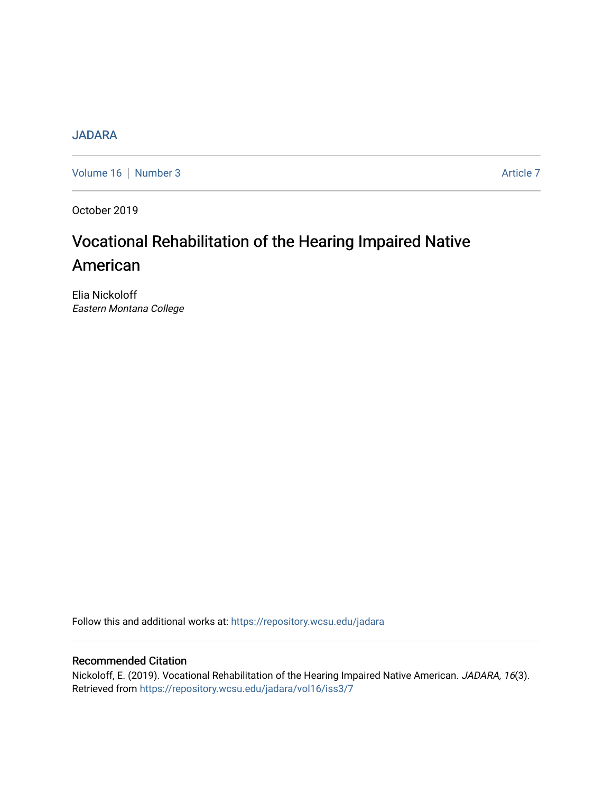# [JADARA](https://repository.wcsu.edu/jadara)

[Volume 16](https://repository.wcsu.edu/jadara/vol16) | [Number 3](https://repository.wcsu.edu/jadara/vol16/iss3) Article 7

October 2019

# Vocational Rehabilitation of the Hearing Impaired Native American

Elia Nickoloff Eastern Montana College

Follow this and additional works at: [https://repository.wcsu.edu/jadara](https://repository.wcsu.edu/jadara?utm_source=repository.wcsu.edu%2Fjadara%2Fvol16%2Fiss3%2F7&utm_medium=PDF&utm_campaign=PDFCoverPages)

# Recommended Citation

Nickoloff, E. (2019). Vocational Rehabilitation of the Hearing Impaired Native American. JADARA, 16(3). Retrieved from [https://repository.wcsu.edu/jadara/vol16/iss3/7](https://repository.wcsu.edu/jadara/vol16/iss3/7?utm_source=repository.wcsu.edu%2Fjadara%2Fvol16%2Fiss3%2F7&utm_medium=PDF&utm_campaign=PDFCoverPages)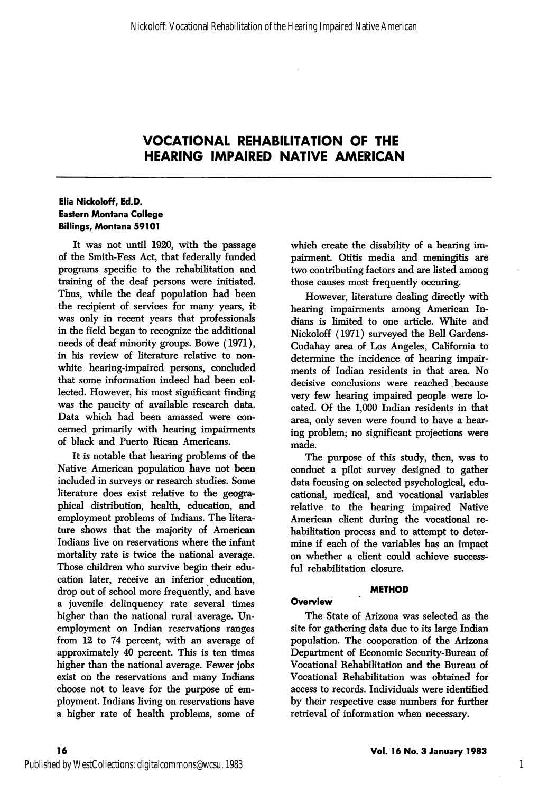#### Elia Nickoloff, Ed.D. Eastern Montana College Billings, Montana 59101

It was not until 1920, with the passage of the Smith-Fess Act, that federally funded programs specific to the rehabilitation and training of the deaf persons were initiated. Thus, while the deaf population had been the recipient of services for many years, it was only in recent years that professionals in the field began to recognize the additional needs of deaf minority groups. Bowe (1971), in his review of literature relative to nonwhite hearing-impaired persons, concluded that some information indeed had been col lected. However, his most significant finding was the paucity of available research data. Data which had been amassed were con cerned primarily with hearing impairments of black and Puerto Rican Americans.

It is notable that hearing problems of the Native American population have not been included in surveys or research studies. Some literature does exist relative to the geogra phical distribution, health, education, and employment problems of Indians. The litera ture shows that the majority of American Indians live on reservations where the infant mortality rate is twice the national average. Those children who survive begin their edu cation later, receive an inferior education, drop out of school more frequently, and have a juvenile delinquency rate several times higher than the national rural average. Un employment on Indian reservations ranges from 12 to 74 percent, with an average of approximately 40 percent. This is ten times higher than the national average. Fewer jobs exist on the reservations and many Indians choose not to leave for the purpose of em ployment. Indians living on reservations have a higher rate of health problems, some of

which create the disability of a hearing im pairment. Otitis media and meningitis are two contributing factors and are listed among those causes most frequently occuring.

However, literature dealing directly with hearing impairments among American In dians is limited to one article. White and Nickoloff (1971) surveyed the Bell Gardens-Cudahay area of Los Angeles, California to determine the incidence of hearing impair ments of Indian residents in that area. No decisive conclusions were reached because very few hearing impaired people were lo cated. Of the 1,000 Indian residents in that area, only seven were found to have a hear ing problem; no significant projections were made.

The purpose of this study, then, was to conduct a pilot survey designed to gather data focusing on selected psychological, edu cational, medical, and vocational variables relative to the hearing impaired Native American client during the vocational re habilitation process and to attempt to deter mine if each of the variables has an impact on whether a client could achieve success ful rehabilitation closure.

#### METHOD

#### **Overview**

The State of Arizona was selected as the site for gathering data due to its large Indian population. The cooperation of the Arizona Department of Economic Security-Bureau of Vocational Rehabilitation and the Bureau of Vocational Rehabilitation was obtained for access to records. Individuals were identified by their respective case numbers for further retrieval of information when necessary.

1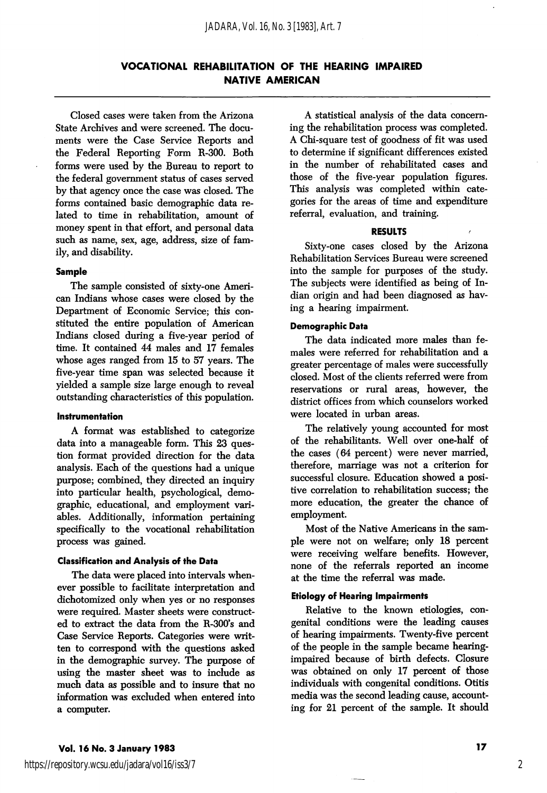Closed cases were taken from the Arizona State Archives and were screened. The docu ments were the Case Service Reports and the Federal Reporting Form R-300. Both forms were used by the Bureau to report to the federal government status of cases served by that agency once the case was closed. The forms contained basic demographic data re lated to time in rehabilitation, amount of money spent in that effort, and personal data such as name, sex, age, address, size of fam ily, and disability.

#### Sample

The sample consisted of sixty-one Ameri can Indians whose cases were closed by the Department of Economic Service; this con stituted the entire population of American Indians closed during a five-year period of time. It contained 44 males and 17 females whose ages ranged from 15 to 57 years. The five-year time span was selected because it yielded a sample size large enough to reveal outstanding characteristics of this population.

#### Instrumentation

A format was established to categorize data into a manageable form. This 23 ques tion format provided direction for the data analysis. Each of the questions had a unique purpose; combined, they directed an inquiry into particular health, psychological, demo graphic, educational, and employment vari ables. Additionally, information pertaining specifically to the vocational rehabilitation process was gained.

#### Classification and Analysis of the Data

The data were placed into intervals when ever possible to facilitate interpretation and dichotomized only when yes or no responses were required. Master sheets were construct ed to extract the data from the R-300's and Case Service Reports. Categories were writ ten to correspond with the questions asked in the demographic survey. The purpose of using the master sheet was to include as much data as possible and to insure that no information was excluded when entered into a computer.

A statistical analysis of the data concern ing the rehabilitation process was completed. A Chi-square test of goodness of fit was used to determine if significant differences existed in the number of rehabilitated cases and those of the five-year population figures. This analysis was completed within cate gories for the areas of time and expenditure referral, evaluation, and training.

#### RESULTS

Sixty-one cases closed by the Arizona Rehabilitation Services Bureau were screened into the sample for purposes of the study. The subjects were identified as being of In dian origin and had been diagnosed as hav ing a hearing impairment.

#### Demographic Data

The data indicated more males than fe males were referred for rehabilitation and a greater percentage of males were successfully closed. Most of the clients referred were from reservations or rural areas, however, the district offices from which counselors worked were located in urban areas.

The relatively young accounted for most of the rehabilitants. Well over one-half of the cases (64 percent) were never married, therefore, marriage was not a criterion for successful closure. Education showed a posi tive correlation to rehabilitation success; the more education, the greater the chance of employment.

Most of the Native Americans in the sam ple were not on welfare; only 18 percent were receiving welfare benefits. However, none of the referrals reported an income at the time the referral was made.

#### Etiology of Hearing Impairments

Relative to the known etiologies, con genital conditions were the leading causes of hearing impairments. Twenty-five percent of the people in the sample became hearingimpaired because of birth defects. Closure was obtained on only 17 percent of those individuals with congenital conditions. Otitis media was the second leading cause, account ing for 21 percent of the sample. It should

2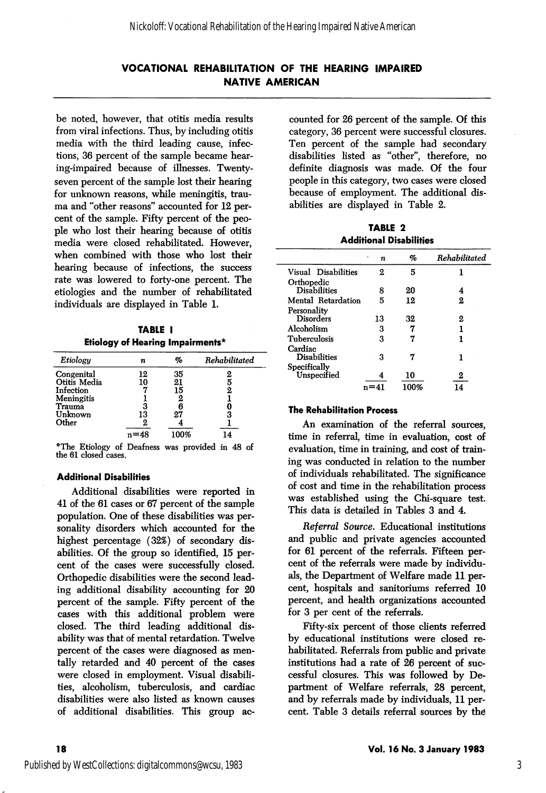be noted, however, that otitis media results from viral infections. Thus, by including otitis media with the third leading cause, infec tions, 36 percent of the sample became hear ing-impaired because of illnesses. Twentyseven percent of the sample lost their hearing for unknown reasons, while meningitis, trau ma and "other reasons'' accounted for 12 per cent of the sample. Fifty percent of the peo ple who lost their hearing because of otitis media were closed rehabilitated. However, when combined with those who lost their hearing because of infections, the success rate was lowered to forty-one percent. The etiologies and the number of rehabilitated individuals are displayed in Table 1.

TABLE I Etiology of Hearing Impairments\*

| Etiology     | n  | %    | Rehabilitated |
|--------------|----|------|---------------|
| Congenital   | 12 | 35   |               |
| Otitis Media | 10 | 21   |               |
| Infection    |    | 15   |               |
| Meningitis   |    |      |               |
| Trauma       | 3  |      |               |
| Unknown      | 13 | 27   | 3             |
| Other        | 2  |      |               |
|              |    | 100% |               |

\*The Etiology of Deafness was provided in 48 of the 61 closed cases.

#### Additional Disabilities

Additional disabilities were reported in 41 of the 61 cases or 67 percent of the sample population. One of these disabilities was per sonality disorders which accounted for the highest percentage (32%) of secondary dis abilities. Of the group so identified, 15 per cent of the cases were successfully closed. Orthopedic disabilities were the second lead ing additional disability accounting for 20 percent of the sample. Fifty percent of the cases with this additional problem were closed. The third leading additional dis ability was that of mental retardation. Twelve percent of the cases were diagnosed as men tally retarded and 40 percent of the cases were closed in employment. Visual disabili ties, alcoholism, tuberculosis, and cardiac disabilities were also listed as known causes of additional disabilities. This group ac

counted for 26 percent of the sample. Of this category, 36 percent were successful closures. Ten percent of the sample had secondary disabilities listed as "other", therefore, no definite diagnosis was made. Of the four people in this category, two cases were closed because of employment. The additional dis abilities are displayed in Table 2.

TABLE 2 Additional Disabilities

|                     | ٠<br>n | %    | Rehabilitated |
|---------------------|--------|------|---------------|
| Visual Disabilities | 2      | 5    |               |
| Orthopedic          |        |      |               |
| <b>Disabilities</b> | 8      | 20   | 4             |
| Mental Retardation  | 5      | 12   | 2             |
| Personality         |        |      |               |
| Disorders           | 13     | 32   | 2             |
| Alcoholism          | 3      |      | 1             |
| Tuberculosis        | 3      |      | 1             |
| Cardiac             |        |      |               |
| <b>Disabilities</b> | 3      | 7    | 1             |
| Specifically        |        |      |               |
| ${\bf Unspecified}$ |        | 10   | 2             |
|                     |        | 100% | 14            |

#### The Rehabilitation Process

An examination of the referral sources, time in referral, time in evaluation, cost of evaluation, time in training, and cost of train ing was conducted in relation to the number of individuals rehabilitated. The significance of cost and time in the rehabilitation process was established using the Chi-square test. This data is detailed in Tables 3 and 4.

Referral Source. Educational institutions and public and private agencies accounted for 61 percent of the referrals. Fifteen per cent of the referrals were made by individu als, the Department of Welfare made 11 per cent, hospitals and sanitoriums referred 10 percent, and health organizations accounted for 3 per cent of the referrals.

Fifty-six percent of those clients referred by educational institutions were closed re habilitated. Referrals from public and private institutions had a rate of 26 percent of suc cessful closures. This was followed by De partment of Welfare referrals, 28 percent, and by referrals made by individuals, 11 per cent. Table 3 details referral sources by the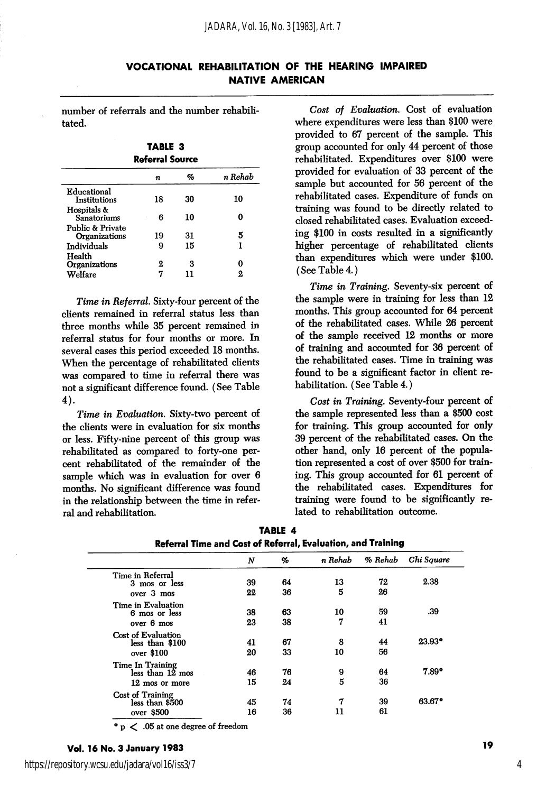| VOCATIONAL REHABILITATION OF THE HEARING IMPAIRED |  |  |
|---------------------------------------------------|--|--|
| <b>NATIVE AMERICAN</b>                            |  |  |

number of referrals and the number rehabili tated.

TABLE 3 Referral Source

|                                          | n  | %  | n Rehab |
|------------------------------------------|----|----|---------|
| Educational<br>Institutions              | 18 | 30 | 10      |
| Hospitals &<br>Sanatoriums               | В  | 10 |         |
| Public & Private<br><b>Organizations</b> | 19 | 31 | 5       |
| Individuals                              | 9  | 15 |         |
| Health<br>Organizations<br>Welfare       | 2  | з  | 2       |

Time in Referral. Sixty-four percent of the clients remained in referral status less than three months while 35 percent remained in referral status for four months or more. In several cases this period exceeded 18 months. When the percentage of rehabilitated clients was compared to time in referral there was not a significant difference found. (See Table 4).

Time in Evaluation. Sixty-two percent of the clients were in evaluation for six months or less. Fifty-nine percent of this group was rehabilitated as compared to forty-one per cent rehabihtated of the remainder of the sample which was in evaluation for over 6 months. No significant difference was found in the relationship between the time in refer ral and rehabilitation.

Cost of Evaluation. Cost of evaluation where expenditures were less than \$100 were provided to 67 percent of the sample. This group accounted for only 44 percent of those rehabilitated. Expenditures over \$100 were provided for evaluation of 33 percent of the sample but accounted for 56 percent of the rehabilitated cases. Expenditure of funds on training was found to be directly related to closed rehabilitated cases. Evaluation exceed ing \$100 in costs resulted in a significantly higher percentage of rehabilitated clients than expenditures which were under \$100. (See Table 4.)

Time in Training. Seventy-six percent of the sample were in training for less than 12 months. This group accounted for 64 percent of the rehabilitated cases. While 26 percent of the sample received 12 months or more of training and accounted for 36 percent of the rehabihtated cases. Time in training was found to be a significant factor in client rehabilitation. (See Table 4.)

Cost in Training. Seventy-four percent of the sample represented less than a \$500 cost for training. This group accounted for only 39 percent of the rehabihtated cases. On the other hand, only 16 percent of the popula tion represented a cost of over \$500 for train ing. This group accounted for 61 percent of the rehabihtated cases. Expenditures for training were found to be significantly re lated to rehabilitation outcome.

|                         | N  | %  | n Rehab | % Rehab | Chi Square           |
|-------------------------|----|----|---------|---------|----------------------|
| Time in Referral        |    |    |         |         |                      |
| 3 mos or less           | 39 | 64 | 13      | 72      | 2.38                 |
| over 3 mos              | 22 | 36 | 5       | 26      |                      |
| Time in Evaluation      |    |    |         |         |                      |
| 6 mos or less           | 38 | 63 | 10      | 59      | .39                  |
| over 6 mos              | 23 | 38 | 7       | 41      |                      |
| Cost of Evaluation      |    |    |         |         |                      |
| less than \$100         | 41 | 67 | 8       | 44      | $23.93$ <sup>*</sup> |
| over \$100              | 20 | 33 | 10      | 56      |                      |
| Time In Training        |    |    |         |         |                      |
| $less than 12$ mos      | 46 | 76 | 9       | 64      | $7.89^{\circ}$       |
| 12 mos or more          | 15 | 24 | 5       | 36      |                      |
| <b>Cost of Training</b> |    |    |         |         |                      |
| less than \$500         | 45 | 74 | 7       | 39      | 63.67*               |
| over \$500              | 16 | 36 | 11      | 61      |                      |

|  | TABLE 4 |                                                              |  |
|--|---------|--------------------------------------------------------------|--|
|  |         | Referral Time and Cost of Referral, Evaluation, and Training |  |

• p < .05 at one degree of freedom

### Vol. 16 No. 3 January 1983 19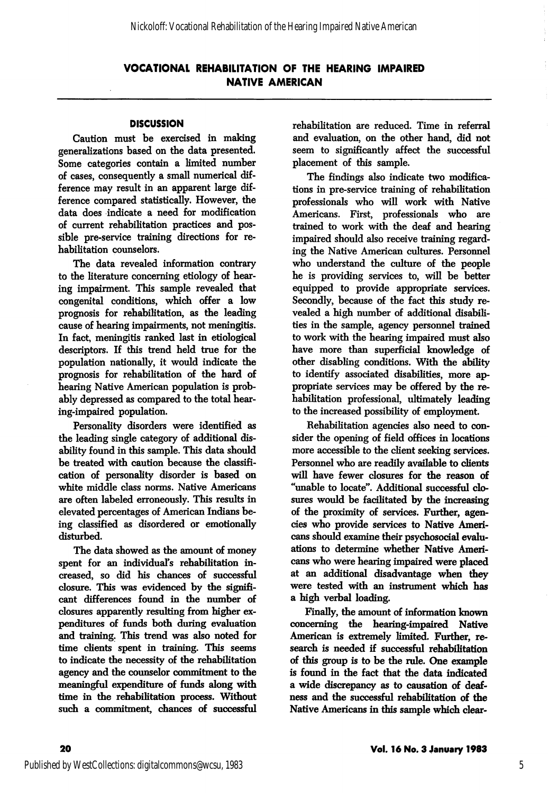#### **DISCUSSION**

Caution must be exercised in making generalizations based on the data presented. Some categories contain a limited number of cases, consequently a small numerical dif ference may result in an apparent large dif ference compared statistically. However, the data does indicate a need for modification of current rehabilitation practices and pos sible pre-service training directions for re habilitation counselors.

The data revealed information contrary to the literature concerning etiology of hear ing impairment. This sample revealed that congenital conditions, which offer a low prognosis for rehabilitation, as the leading cause of hearing impairments, not meningitis. In fact, meningitis ranked last in etiological descriptors. If this trend held true for the population nationally, it would indicate the prognosis for rehabilitation of the hard of hearing Native American population is prob ably depressed as compared to the total hear ing-impaired population.

Personality disorders were identified as the leading single category of additional dis ability found in this sample. This data should be treated with caution because the classifi cation of personality disorder is based on white middle class norms. Native Americans are often labeled erroneously. This results in elevated percentages of American Indians be ing classified as disordered or emotionally disturbed.

The data showed as the amount of money spent for an individual's rehabilitation in creased, so did his chances of successful closure. This was evidenced by the signifi cant differences found in the number of closures apparently resulting from higher ex penditures of funds both during evaluation and training. This trend was also noted for time clients spent in training. This seems to indicate the necessity of the rehabilitation agency and the counselor commitment to the meaningful expenditure of funds along with time in the rehabilitation process. Without such a commitment, chances of successful rehabilitation are reduced. Time in referral and evaluation, on the other hand, did not seem to significantly affect the successful placement of this sample.

The findings also indicate two modifica tions in pre-service training of rehabilitation professionals who will work with Native Americans. First, professionals who are trained to work with the deaf and hearing impaired should also receive training regard ing the Native American cultures. Personnel who understand the culture of the people he is providing services to, will be better equipped to provide appropriate services. Secondly, because of the fact this study re vealed a high number of additional disabili ties in the sample, agency personnel trained to work with the hearing impaired must also have more than superficial knowledge of other disabling conditions. With the ability to identify associated disabilities, more ap propriate services may be offered by the re habilitation professional, ultimately leading to the increased possibility of employment.

Rehabilitation agencies also need to con sider the opening of field offices in locations more accessible to the client seeking services. Personnel who are readily available to clients will have fewer closures for the reason of "unable to locate". Additional successful clo sures would be facilitated by the increasing of the proximity of services. Further, agen cies who provide services to Native Ameri cans should examine their psychosocial evaluations to determine whether Native Ameri cans who were hearing impaired were placed at an additional disadvantage when they were tested with an instrument which has a high verbal loading.

Finally, the amount of information known concerning the hearing-impaired Native American is extremely limited. Further, research is needed if successful rehabilitation of this group is to be the rule. One example is found in the fact that the data indicated a wide discrepancy as to causation of deaf ness and the successful rehabilitation of the Native Americans in this sample which clear-